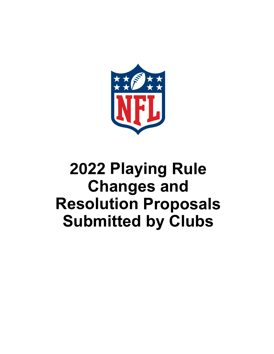

# **2022 Playing Rule Changes and Resolution Proposals Submitted by Clubs**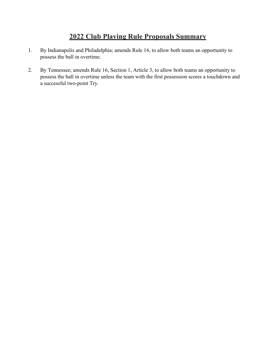# **2022 Club Playing Rule Proposals Summary**

- 1. By Indianapolis and Philadelphia; amends Rule 16, to allow both teams an opportunity to possess the ball in overtime.
- 2. By Tennessee; amends Rule 16, Section 1, Article 3, to allow both teams an opportunity to possess the ball in overtime unless the team with the first possession scores a touchdown and a successful two-point Try.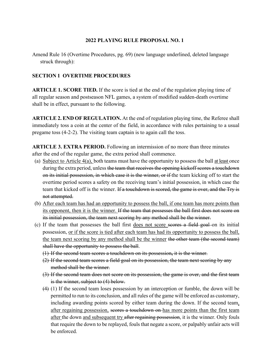## **2022 PLAYING RULE PROPOSAL NO. 1**

Amend Rule 16 (Overtime Procedures, pg. 69) (new language underlined, deleted language struck through):

## **SECTION 1 OVERTIME PROCEDURES**

**ARTICLE 1. SCORE TIED.** If the score is tied at the end of the regulation playing time of all regular season and postseason NFL games, a system of modified sudden-death overtime shall be in effect, pursuant to the following.

**ARTICLE 2. END OF REGULATION.** At the end of regulation playing time, the Referee shall immediately toss a coin at the center of the field, in accordance with rules pertaining to a usual pregame toss (4-2-2). The visiting team captain is to again call the toss.

**ARTICLE 3. EXTRA PERIOD.** Following an intermission of no more than three minutes after the end of the regular game, the extra period shall commence.

- (a) Subject to Article 4(a), both teams must have the opportunity to possess the ball at least once during the extra period, unless the team that receives the opening kickoff scores a touchdown on its initial possession, in which case it is the winner, or if the team kicking off to start the overtime period scores a safety on the receiving team's initial possession, in which case the team that kicked off is the winner. If a touchdown is scored, the game is over, and the Try is not attempted.
- (b) After each team has had an opportunity to possess the ball, if one team has more points than its opponent, then it is the winner. If the team that possesses the ball first does not score on its initial possession, the team next scoring by any method shall be the winner.
- (c) If the team that possesses the ball first does not score scores a field goal on its initial possession, or if the score is tied after each team has had its opportunity to possess the ball, the team next scoring by any method shall be the winner the other team (the second team) shall have the opportunity to possess the ball.
	- (1) If the second team scores a touchdown on its possession**,** it is the winner.
	- (2) If the second team scores a field goal on its possession, the team next scoring by any method shall be the winner.
	- (3) If the second team does not score on its possession, the game is over, and the first team is the winner, subject to (4) below.
	- (4) (1) If the second team loses possession by an interception or fumble, the down will be permitted to run to its conclusion, and all rules of the game will be enforced as customary, including awarding points scored by either team during the down. If the second team, after regaining possession, secres a touchdown on has more points than the first team after the down and subsequent try after regaining possession, it is the winner. Only fouls that require the down to be replayed, fouls that negate a score, or palpably unfair acts will be enforced.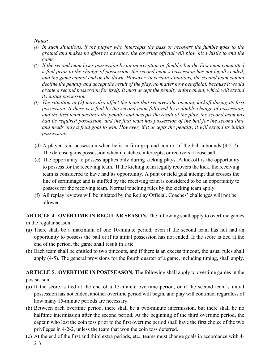#### *Notes:*

- *(1) In such situations, if the player who intercepts the pass or recovers the fumble goes to the ground and makes no effort to advance, the covering official will blow his whistle to end the game.*
- *(2) If the second team loses possession by an interception or fumble, but the first team committed a foul prior to the change of possession, the second team's possession has not legally ended, and the game cannot end on the down. However, in certain situations, the second team cannot decline the penalty and accept the result of the play, no matter how beneficial, because it would create a second possession for itself. It must accept the penalty enforcement, which will extend its initial possession.*
- *(3) The situation in (2) may also affect the team that receives the opening kickoff during its first possession. If there is a foul by the second team followed by a double change of possession, and the first team declines the penalty and accepts the result of the play, the second team has*  had its required possession, and the first team has possession of the ball for the second time *and needs only a field goal to win. However, if it accepts the penalty, it will extend its initial possession.*
- (d) A player is in possession when he is in firm grip and control of the ball inbounds (3-2-7). The defense gains possession when it catches, intercepts, or recovers a loose ball.
- (e) The opportunity to possess applies only during kicking plays. A kickoff is the opportunity to possess for the receiving team. If the kicking team legally recovers the kick, the receiving team is considered to have had its opportunity. A punt or field goal attempt that crosses the line of scrimmage and is muffed by the receiving team is considered to be an opportunity to possess for the receiving team. Normal touching rules by the kicking team apply.
- (f) All replay reviews will be initiated by the Replay Official. Coaches' challenges will not be allowed.

**ARTICLE 4. OVERTIME IN REGULAR SEASON.** The following shall apply to overtime games in the regular season.

- (a) There shall be a maximum of one 10-minute period, even if the second team has not had an opportunity to possess the ball or if its initial possession has not ended. If the score is tied at the end of the period, the game shall result in a tie.
- (b) Each team shall be entitled to two timeouts, and if there is an excess timeout, the usual rules shall apply (4-5). The general provisions for the fourth quarter of a game, including timing, shall apply.

**ARTICLE 5. OVERTIME IN POSTSEASON.** The following shall apply to overtime games in the postseason:

- (a) If the score is tied at the end of a 15-minute overtime period, or if the second team's initial possession has not ended, another overtime period will begin, and play will continue, regardless of how many 15-minute periods are necessary.
- (b) Between each overtime period, there shall be a two-minute intermission, but there shall be no halftime intermission after the second period. At the beginning of the third overtime period, the captain who lost the coin toss prior to the first overtime period shall have the first choice of the two privileges in 4-2-2, unless the team that won the coin toss deferred.
- (c) At the end of the first and third extra periods, etc., teams must change goals in accordance with 4- 2-3.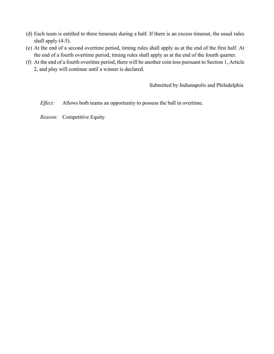- (d) Each team is entitled to three timeouts during a half. If there is an excess timeout, the usual rules shall apply (4-5).
- (e) At the end of a second overtime period, timing rules shall apply as at the end of the first half. At the end of a fourth overtime period, timing rules shall apply as at the end of the fourth quarter.
- (f) At the end of a fourth overtime period, there will be another coin toss pursuant to Section 1, Article 2, and play will continue until a winner is declared.

Submitted by Indianapolis and Philadelphia

*Effect:* Allows both teams an opportunity to possess the ball in overtime.

*Reason:* Competitive Equity.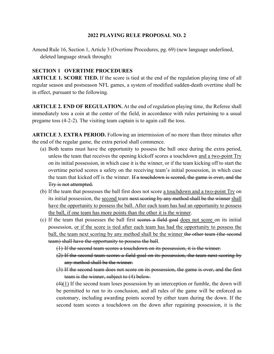#### **2022 PLAYING RULE PROPOSAL NO. 2**

Amend Rule 16, Section 1, Article 3 (Overtime Procedures, pg. 69) (new language underlined, deleted language struck through):

## **SECTION 1 OVERTIME PROCEDURES**

**ARTICLE 1. SCORE TIED.** If the score is tied at the end of the regulation playing time of all regular season and postseason NFL games, a system of modified sudden-death overtime shall be in effect, pursuant to the following.

**ARTICLE 2. END OF REGULATION.** At the end of regulation playing time, the Referee shall immediately toss a coin at the center of the field, in accordance with rules pertaining to a usual pregame toss (4-2-2). The visiting team captain is to again call the toss.

**ARTICLE 3. EXTRA PERIOD.** Following an intermission of no more than three minutes after the end of the regular game, the extra period shall commence.

- (a) Both teams must have the opportunity to possess the ball once during the extra period, unless the team that receives the opening kickoff scores a touchdown and a two-point Try on its initial possession, in which case it is the winner, or if the team kicking off to start the overtime period scores a safety on the receiving team's initial possession, in which case the team that kicked off is the winner. If a touchdown is scored, the game is over, and the Try is not attempted.
- (b) If the team that possesses the ball first does not score a touchdown and a two-point Try on its initial possession, the second team next scoring by any method shall be the winner shall have the opportunity to possess the ball. After each team has had an opportunity to possess the ball, if one team has more points than the other it is the winner.
- (c) If the team that possesses the ball first scores a field goal does not score on its initial possession, or if the score is tied after each team has had the opportunity to possess the ball, the team next scoring by any method shall be the winner the other team (the second team) shall have the opportunity to possess the ball.
	- (1) If the second team scores a touchdown on its possession, it is the winner.
	- (2) If the second team scores a field goal on its possession, the team next scoring by any method shall be the winner.
	- (3) If the second team does not score on its possession, the game is over, and the first team is the winner, subject to (4) below.

 $(4)(1)$  If the second team loses possession by an interception or fumble, the down will be permitted to run to its conclusion, and all rules of the game will be enforced as customary, including awarding points scored by either team during the down. If the second team scores a touchdown on the down after regaining possession, it is the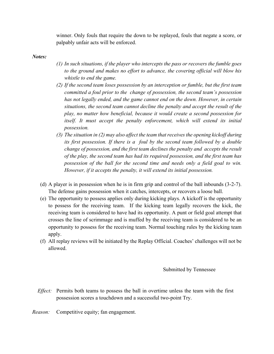winner. Only fouls that require the down to be replayed, fouls that negate a score, or palpably unfair acts will be enforced.

*Notes:*

- *(1) In such situations, if the player who intercepts the pass or recovers the fumble goes to the ground and makes no effort to advance, the covering official will blow his whistle to end the game.*
- *(2) If the second team loses possession by an interception or fumble, but the first team committed a foul prior to the change of possession, the second team's possession has not legally ended, and the game cannot end on the down. However, in certain situations, the second team cannot decline the penalty and accept the result of the play, no matter how beneficial, because it would create a second possession for itself.* It must accept the penalty enforcement, which will extend its initial *possession.*
- *(3) The situation in (2) may also affect the team that receives the opening kickoff during its first possession. If there is a foul by the second team followed by a double change of possession, and the first team declines the penalty and accepts the result of the play, the second team has had its required possession, and the first team has possession of the ball for the second time and needs only a field goal to win. However, if it accepts the penalty, it will extend its initial possession.*
- (d) A player is in possession when he is in firm grip and control of the ball inbounds (3-2-7). The defense gains possession when it catches, intercepts, or recovers a loose ball.
- (e) The opportunity to possess applies only during kicking plays. A kickoff is the opportunity to possess for the receiving team. If the kicking team legally recovers the kick, the receiving team is considered to have had its opportunity. A punt or field goal attempt that crosses the line of scrimmage and is muffed by the receiving team is considered to be an opportunity to possess for the receiving team. Normal touching rules by the kicking team apply.
- (f) All replay reviews will be initiated by the Replay Official. Coaches' challenges will not be allowed.

Submitted by Tennessee

- *Effect:* Permits both teams to possess the ball in overtime unless the team with the first possession scores a touchdown and a successful two-point Try.
- *Reason:* Competitive equity; fan engagement.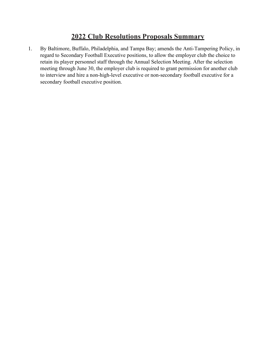# **2022 Club Resolutions Proposals Summary**

1. By Baltimore, Buffalo, Philadelphia, and Tampa Bay; amends the Anti-Tampering Policy, in regard to Secondary Football Executive positions, to allow the employer club the choice to retain its player personnel staff through the Annual Selection Meeting. After the selection meeting through June 30, the employer club is required to grant permission for another club to interview and hire a non-high-level executive or non-secondary football executive for a secondary football executive position.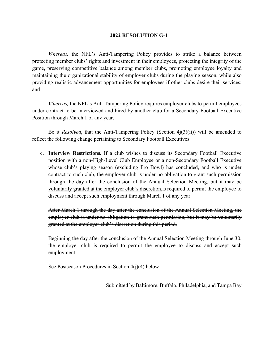#### **2022 RESOLUTION G-1**

*Whereas,* the NFL's Anti-Tampering Policy provides to strike a balance between protecting member clubs' rights and investment in their employees, protecting the integrity of the game, preserving competitive balance among member clubs, promoting employee loyalty and maintaining the organizational stability of employer clubs during the playing season, while also providing realistic advancement opportunities for employees if other clubs desire their services; and

*Whereas,* the NFL's Anti-Tampering Policy requires employer clubs to permit employees under contract to be interviewed and hired by another club for a Secondary Football Executive Position through March 1 of any year,

Be it *Resolved*, that the Anti-Tampering Policy (Section 4j(3)(ii)) will be amended to reflect the following change pertaining to Secondary Football Executives:

c. **Interview Restrictions.** If a club wishes to discuss its Secondary Football Executive position with a non-High-Level Club Employee or a non-Secondary Football Executive whose club's playing season (excluding Pro Bowl) has concluded, and who is under contract to such club, the employer club is under no obligation to grant such permission through the day after the conclusion of the Annual Selection Meeting, but it may be voluntarily granted at the employer club's discretion. is required to permit the employee to discuss and accept such employment through March 1 of any year.

After March 1 through the day after the conclusion of the Annual Selection Meeting, the employer club is under no obligation to grant such permission, but it may be voluntarily granted at the employer club's discretion during this period.

Beginning the day after the conclusion of the Annual Selection Meeting through June 30, the employer club is required to permit the employee to discuss and accept such employment.

See Postseason Procedures in Section 4(j)(4) below

Submitted by Baltimore, Buffalo, Philadelphia, and Tampa Bay